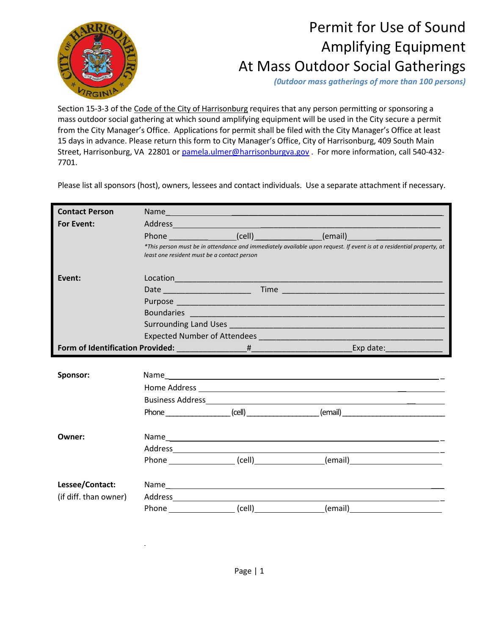

## Permit for Use of Sound Amplifying Equipment At Mass Outdoor Social Gatherings

 *(0utdoor mass gatherings of more than 100 persons)*

Section 15-3-3 of the Code of the City of Harrisonburg requires that any person permitting or sponsoring a mass outdoor social gathering at which sound amplifying equipment will be used in the City secure a permit from the City Manager's Office. Applications for permit shall be filed with the City Manager's Office at least 15 days in advance. Please return this form to City Manager's Office, City of Harrisonburg, 409 South Main Street, Harrisonburg, VA 22801 or pamela.ulmer@harrisonburgva.gov . For more information, call 540-432-7701.

Please list all sponsors (host), owners, lessees and contact individuals. Use a separate attachment if necessary.

| <b>Contact Person</b> |                                             | Name and the contract of the contract of the contract of the contract of the contract of the contract of the contract of the contract of the contract of the contract of the contract of the contract of the contract of the c     |                                                                                                                                                                                                                                |  |  |
|-----------------------|---------------------------------------------|------------------------------------------------------------------------------------------------------------------------------------------------------------------------------------------------------------------------------------|--------------------------------------------------------------------------------------------------------------------------------------------------------------------------------------------------------------------------------|--|--|
| For Event:            |                                             |                                                                                                                                                                                                                                    |                                                                                                                                                                                                                                |  |  |
|                       |                                             |                                                                                                                                                                                                                                    | Phone ___________________(cell)_________________(email)_________________________                                                                                                                                               |  |  |
|                       | least one resident must be a contact person |                                                                                                                                                                                                                                    | *This person must be in attendance and immediately available upon request. If event is at a residential property, at                                                                                                           |  |  |
| Event:                |                                             | Location <b>Example 2018 Contract Contract Contract Contract Contract Contract Contract Contract Contract Contract Contract Contract Contract Contract Contract Contract Contract Contract Contract Contract Contract Contract</b> |                                                                                                                                                                                                                                |  |  |
|                       |                                             |                                                                                                                                                                                                                                    |                                                                                                                                                                                                                                |  |  |
|                       |                                             |                                                                                                                                                                                                                                    |                                                                                                                                                                                                                                |  |  |
|                       |                                             |                                                                                                                                                                                                                                    | Boundaries and the contract of the contract of the contract of the contract of the contract of the contract of                                                                                                                 |  |  |
|                       |                                             |                                                                                                                                                                                                                                    |                                                                                                                                                                                                                                |  |  |
|                       |                                             |                                                                                                                                                                                                                                    |                                                                                                                                                                                                                                |  |  |
|                       |                                             |                                                                                                                                                                                                                                    |                                                                                                                                                                                                                                |  |  |
|                       |                                             |                                                                                                                                                                                                                                    |                                                                                                                                                                                                                                |  |  |
| Sponsor:              |                                             |                                                                                                                                                                                                                                    |                                                                                                                                                                                                                                |  |  |
|                       |                                             |                                                                                                                                                                                                                                    |                                                                                                                                                                                                                                |  |  |
|                       |                                             |                                                                                                                                                                                                                                    |                                                                                                                                                                                                                                |  |  |
|                       |                                             |                                                                                                                                                                                                                                    | Phone (cell) (cell) (cell) (email)                                                                                                                                                                                             |  |  |
| Owner:                |                                             |                                                                                                                                                                                                                                    | Name experience and a series of the series of the series of the series of the series of the series of the series of the series of the series of the series of the series of the series of the series of the series of the seri |  |  |
|                       |                                             |                                                                                                                                                                                                                                    |                                                                                                                                                                                                                                |  |  |
|                       |                                             |                                                                                                                                                                                                                                    |                                                                                                                                                                                                                                |  |  |
|                       |                                             |                                                                                                                                                                                                                                    |                                                                                                                                                                                                                                |  |  |
| Lessee/Contact:       |                                             |                                                                                                                                                                                                                                    | Name and the second contract of the second contract of the second contract of the second contract of the second contract of the second contract of the second contract of the second contract of the second contract of the se |  |  |
| (if diff. than owner) |                                             |                                                                                                                                                                                                                                    |                                                                                                                                                                                                                                |  |  |
|                       |                                             |                                                                                                                                                                                                                                    | Phone (cell) (cell) (email) (email)                                                                                                                                                                                            |  |  |

 $\mathbf{r}$